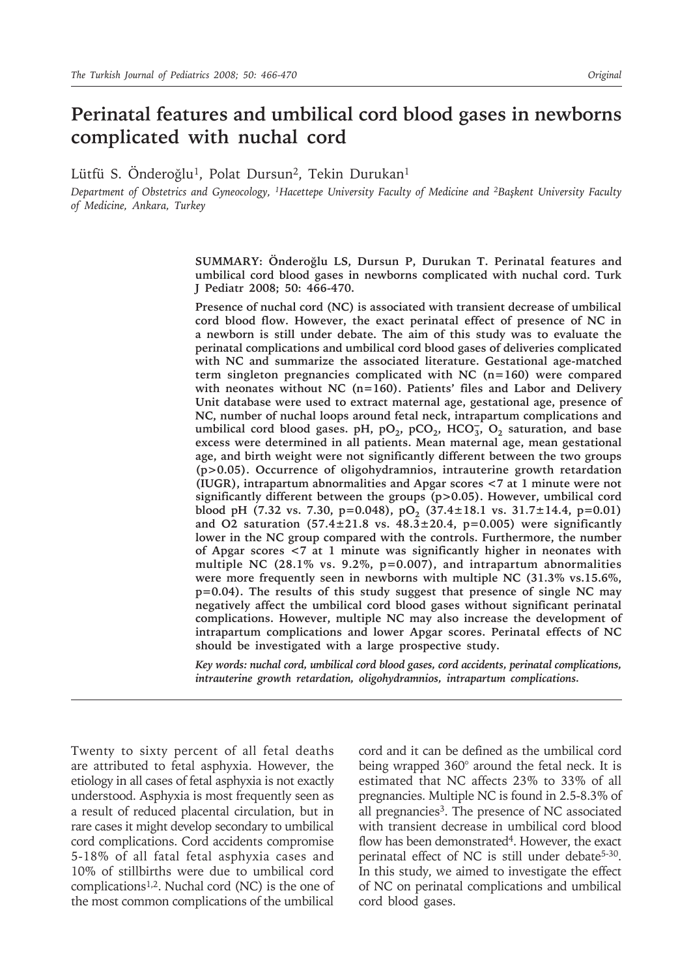# **Perinatal features and umbilical cord blood gases in newborns complicated with nuchal cord**

Lütfü S. Önderoğlu<sup>1</sup>, Polat Dursun<sup>2</sup>, Tekin Durukan<sup>1</sup>

*Department of Obstetrics and Gyneocology, 1Hacettepe University Faculty of Medicine and 2Başkent University Faculty of Medicine, Ankara, Turkey*

> **SUMMARY: Önderoğlu LS, Dursun P, Durukan T. Perinatal features and umbilical cord blood gases in newborns complicated with nuchal cord. Turk J Pediatr 2008; 50: 466-470.**

> **Presence of nuchal cord (NC) is associated with transient decrease of umbilical cord blood flow. However, the exact perinatal effect of presence of NC in a newborn is still under debate. The aim of this study was to evaluate the perinatal complications and umbilical cord blood gases of deliveries complicated with NC and summarize the associated literature. Gestational age-matched term singleton pregnancies complicated with NC (n=160) were compared with neonates without NC (n=160). Patients' files and Labor and Delivery Unit database were used to extract maternal age, gestational age, presence of NC, number of nuchal loops around fetal neck, intrapartum complications and**  umbilical cord blood gases. pH, pO<sub>2</sub>, pCO<sub>2</sub>, HCO<sub>3</sub>, O<sub>2</sub> saturation, and base **excess were determined in all patients. Mean maternal age, mean gestational age, and birth weight were not significantly different between the two groups (p>0.05). Occurrence of oligohydramnios, intrauterine growth retardation (IUGR), intrapartum abnormalities and Apgar scores <7 at 1 minute were not significantly different between the groups (p>0.05). However, umbilical cord**  blood pH (7.32 vs. 7.30, p=0.048), pO<sub>2</sub> (37.4±18.1 vs. 31.7±14.4, p=0.01) **and O2 saturation (57.4±21.8 vs. 48.3±20.4, p=0.005) were significantly lower in the NC group compared with the controls. Furthermore, the number of Apgar scores <7 at 1 minute was significantly higher in neonates with multiple NC (28.1% vs. 9.2%, p=0.007), and intrapartum abnormalities were more frequently seen in newborns with multiple NC (31.3% vs.15.6%, p=0.04). The results of this study suggest that presence of single NC may negatively affect the umbilical cord blood gases without significant perinatal complications. However, multiple NC may also increase the development of intrapartum complications and lower Apgar scores. Perinatal effects of NC should be investigated with a large prospective study.**

> *Key words: nuchal cord, umbilical cord blood gases, cord accidents, perinatal complications, intrauterine growth retardation, oligohydramnios, intrapartum complications.*

Twenty to sixty percent of all fetal deaths are attributed to fetal asphyxia. However, the etiology in all cases of fetal asphyxia is not exactly understood. Asphyxia is most frequently seen as a result of reduced placental circulation, but in rare cases it might develop secondary to umbilical cord complications. Cord accidents compromise 5-18% of all fatal fetal asphyxia cases and 10% of stillbirths were due to umbilical cord complications1,2. Nuchal cord (NC) is the one of the most common complications of the umbilical

cord and it can be defined as the umbilical cord being wrapped 360° around the fetal neck. It is estimated that NC affects 23% to 33% of all pregnancies. Multiple NC is found in 2.5-8.3% of all pregnancies<sup>3</sup>. The presence of NC associated with transient decrease in umbilical cord blood flow has been demonstrated<sup>4</sup>. However, the exact perinatal effect of NC is still under debate<sup>5-30</sup>. In this study, we aimed to investigate the effect of NC on perinatal complications and umbilical cord blood gases.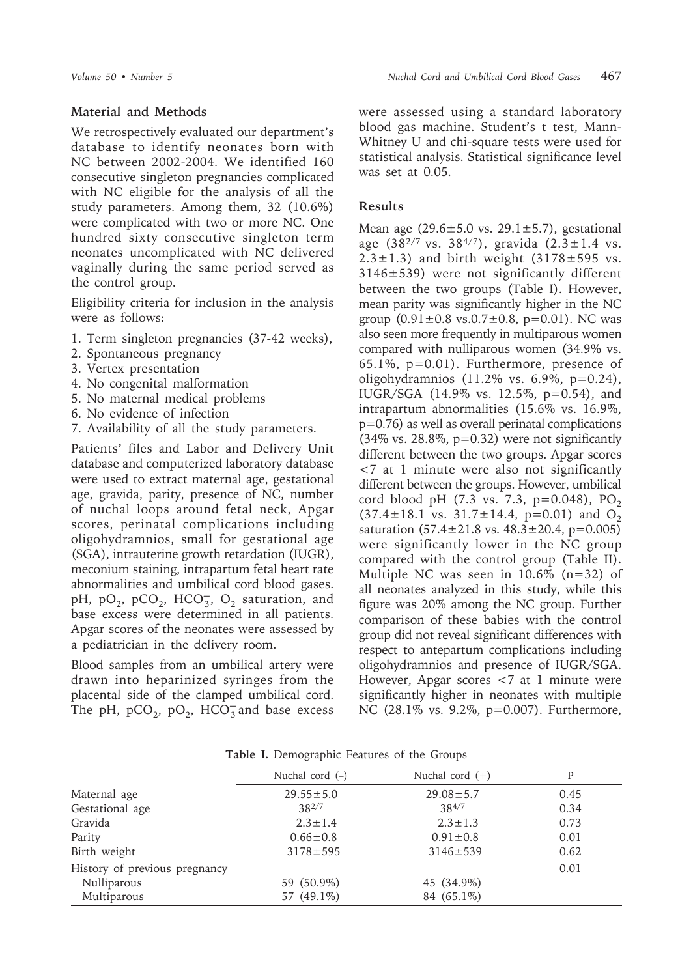### **Material and Methods**

We retrospectively evaluated our department's database to identify neonates born with NC between 2002-2004. We identified 160 consecutive singleton pregnancies complicated with NC eligible for the analysis of all the study parameters. Among them, 32 (10.6%) were complicated with two or more NC. One hundred sixty consecutive singleton term neonates uncomplicated with NC delivered vaginally during the same period served as the control group.

Eligibility criteria for inclusion in the analysis were as follows:

- 1. Term singleton pregnancies (37-42 weeks),
- 2. Spontaneous pregnancy
- 3. Vertex presentation
- 4. No congenital malformation
- 5. No maternal medical problems
- 6. No evidence of infection
- 7. Availability of all the study parameters.

Patients' files and Labor and Delivery Unit database and computerized laboratory database were used to extract maternal age, gestational age, gravida, parity, presence of NC, number of nuchal loops around fetal neck, Apgar scores, perinatal complications including oligohydramnios, small for gestational age (SGA), intrauterine growth retardation (IUGR), meconium staining, intrapartum fetal heart rate abnormalities and umbilical cord blood gases. pH, pO<sub>2</sub>, pCO<sub>2</sub>, HCO<sub>3</sub>, O<sub>2</sub> saturation, and base excess were determined in all patients. Apgar scores of the neonates were assessed by a pediatrician in the delivery room.

Blood samples from an umbilical artery were drawn into heparinized syringes from the placental side of the clamped umbilical cord. The pH,  $pCO_2$ ,  $pO_2$ ,  $HCO_3^-$  and base excess were assessed using a standard laboratory blood gas machine. Student's t test, Mann-Whitney U and chi-square tests were used for statistical analysis. Statistical significance level was set at 0.05.

#### **Results**

Mean age  $(29.6 \pm 5.0 \text{ vs. } 29.1 \pm 5.7)$ , gestational age  $(38^{2/7} \text{ vs. } 38^{4/7})$ , gravida  $(2.3 \pm 1.4 \text{ vs. } 38^{4/7})$  $2.3 \pm 1.3$ ) and birth weight  $(3178 \pm 595$  vs. 3146±539) were not significantly different between the two groups (Table I). However, mean parity was significantly higher in the NC group  $(0.91 \pm 0.8 \text{ vs. } 0.7 \pm 0.8, \text{ p} = 0.01)$ . NC was also seen more frequently in multiparous women compared with nulliparous women (34.9% vs. 65.1%, p=0.01). Furthermore, presence of oligohydramnios (11.2% vs. 6.9%, p=0.24), IUGR/SGA (14.9% vs. 12.5%, p=0.54), and intrapartum abnormalities (15.6% vs. 16.9%, p=0.76) as well as overall perinatal complications  $(34\% \text{ vs. } 28.8\%, \text{ p=0.32})$  were not significantly different between the two groups. Apgar scores <7 at 1 minute were also not significantly different between the groups. However, umbilical cord blood pH (7.3 vs. 7.3, p=0.048),  $PO_2$  $(37.4 \pm 18.1 \text{ vs. } 31.7 \pm 14.4, \text{ p=0.01})$  and O<sub>2</sub> saturation  $(57.4 \pm 21.8 \text{ vs. } 48.3 \pm 20.4, \text{ p} = 0.005)$ were significantly lower in the NC group compared with the control group (Table II). Multiple NC was seen in  $10.6\%$  (n=32) of all neonates analyzed in this study, while this figure was 20% among the NC group. Further comparison of these babies with the control group did not reveal significant differences with respect to antepartum complications including oligohydramnios and presence of IUGR/SGA. However, Apgar scores <7 at 1 minute were significantly higher in neonates with multiple NC (28.1% vs. 9.2%, p=0.007). Furthermore,

|                               | Nuchal cord $(-)$ | Nuchal cord $(+)$ | Ρ    |
|-------------------------------|-------------------|-------------------|------|
| Maternal age                  | $29.55 \pm 5.0$   | $29.08 \pm 5.7$   | 0.45 |
| Gestational age               | $38^{2/7}$        | 384/7             | 0.34 |
| Gravida                       | $2.3 \pm 1.4$     | $2.3 \pm 1.3$     | 0.73 |
| Parity                        | $0.66 \pm 0.8$    | $0.91 \pm 0.8$    | 0.01 |
| Birth weight                  | $3178 \pm 595$    | $3146 \pm 539$    | 0.62 |
| History of previous pregnancy |                   |                   | 0.01 |
| Nulliparous                   | 59 (50.9%)        | 45 (34.9%)        |      |
| Multiparous                   | 57 (49.1%)        | 84 (65.1%)        |      |

**Table I.** Demographic Features of the Groups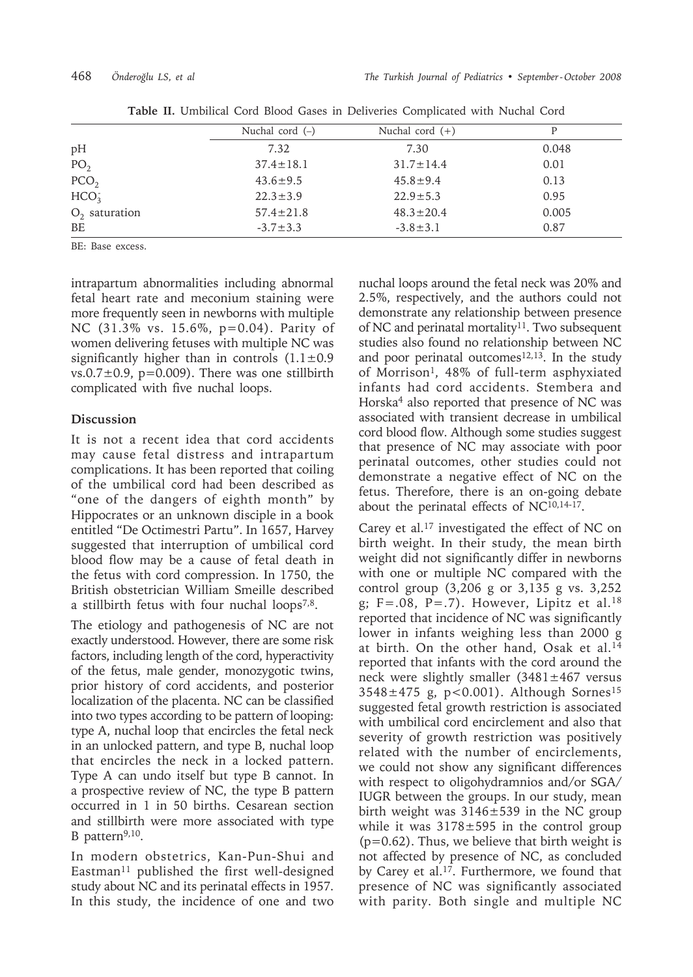|                  | Nuchal cord $(-)$ | Nuchal cord $(+)$ | P     |
|------------------|-------------------|-------------------|-------|
| pH               | 7.32              | 7.30              | 0.048 |
| PO <sub>2</sub>  | $37.4 \pm 18.1$   | $31.7 \pm 14.4$   | 0.01  |
| PCO <sub>2</sub> | $43.6 \pm 9.5$    | $45.8 \pm 9.4$    | 0.13  |
| HCO <sub>3</sub> | $22.3 \pm 3.9$    | $22.9 \pm 5.3$    | 0.95  |
| $O2$ saturation  | $57.4 \pm 21.8$   | $48.3 \pm 20.4$   | 0.005 |
| BE               | $-3.7 \pm 3.3$    | $-3.8 \pm 3.1$    | 0.87  |

**Table II.** Umbilical Cord Blood Gases in Deliveries Complicated with Nuchal Cord

BE: Base excess.

intrapartum abnormalities including abnormal fetal heart rate and meconium staining were more frequently seen in newborns with multiple NC (31.3% vs. 15.6%, p=0.04). Parity of women delivering fetuses with multiple NC was significantly higher than in controls  $(1.1 \pm 0.9)$  $vs.0.7\pm0.9$ ,  $p=0.009$ ). There was one stillbirth complicated with five nuchal loops.

## **Discussion**

It is not a recent idea that cord accidents may cause fetal distress and intrapartum complications. It has been reported that coiling of the umbilical cord had been described as "one of the dangers of eighth month" by Hippocrates or an unknown disciple in a book entitled "De Octimestri Partu". In 1657, Harvey suggested that interruption of umbilical cord blood flow may be a cause of fetal death in the fetus with cord compression. In 1750, the British obstetrician William Smeille described a stillbirth fetus with four nuchal  $loops<sup>7,8</sup>$ .

The etiology and pathogenesis of NC are not exactly understood. However, there are some risk factors, including length of the cord, hyperactivity of the fetus, male gender, monozygotic twins, prior history of cord accidents, and posterior localization of the placenta. NC can be classified into two types according to be pattern of looping: type A, nuchal loop that encircles the fetal neck in an unlocked pattern, and type B, nuchal loop that encircles the neck in a locked pattern. Type A can undo itself but type B cannot. In a prospective review of NC, the type B pattern occurred in 1 in 50 births. Cesarean section and stillbirth were more associated with type B pattern<sup>9,10</sup>.

In modern obstetrics, Kan-Pun-Shui and Eastman<sup>11</sup> published the first well-designed study about NC and its perinatal effects in 1957. In this study, the incidence of one and two

nuchal loops around the fetal neck was 20% and 2.5%, respectively, and the authors could not demonstrate any relationship between presence of NC and perinatal mortality<sup>11</sup>. Two subsequent studies also found no relationship between NC and poor perinatal outcomes $12,13$ . In the study of Morrison<sup>1</sup>, 48% of full-term asphyxiated infants had cord accidents. Stembera and Horska4 also reported that presence of NC was associated with transient decrease in umbilical cord blood flow. Although some studies suggest that presence of NC may associate with poor perinatal outcomes, other studies could not demonstrate a negative effect of NC on the fetus. Therefore, there is an on-going debate about the perinatal effects of NC10,14-17.

Carey et al.17 investigated the effect of NC on birth weight. In their study, the mean birth weight did not significantly differ in newborns with one or multiple NC compared with the control group (3,206 g or 3,135 g vs. 3,252 g;  $F=.08$ ,  $P=.7$ ). However, Lipitz et al.<sup>18</sup> reported that incidence of NC was significantly lower in infants weighing less than 2000 g at birth. On the other hand, Osak et al.14 reported that infants with the cord around the neck were slightly smaller  $(3481 \pm 467$  versus  $3548 \pm 475$  g, p<0.001). Although Sornes<sup>15</sup> suggested fetal growth restriction is associated with umbilical cord encirclement and also that severity of growth restriction was positively related with the number of encirclements, we could not show any significant differences with respect to oligohydramnios and/or SGA/ IUGR between the groups. In our study, mean birth weight was 3146±539 in the NC group while it was  $3178 \pm 595$  in the control group  $(p=0.62)$ . Thus, we believe that birth weight is not affected by presence of NC, as concluded by Carey et al.17. Furthermore, we found that presence of NC was significantly associated with parity. Both single and multiple NC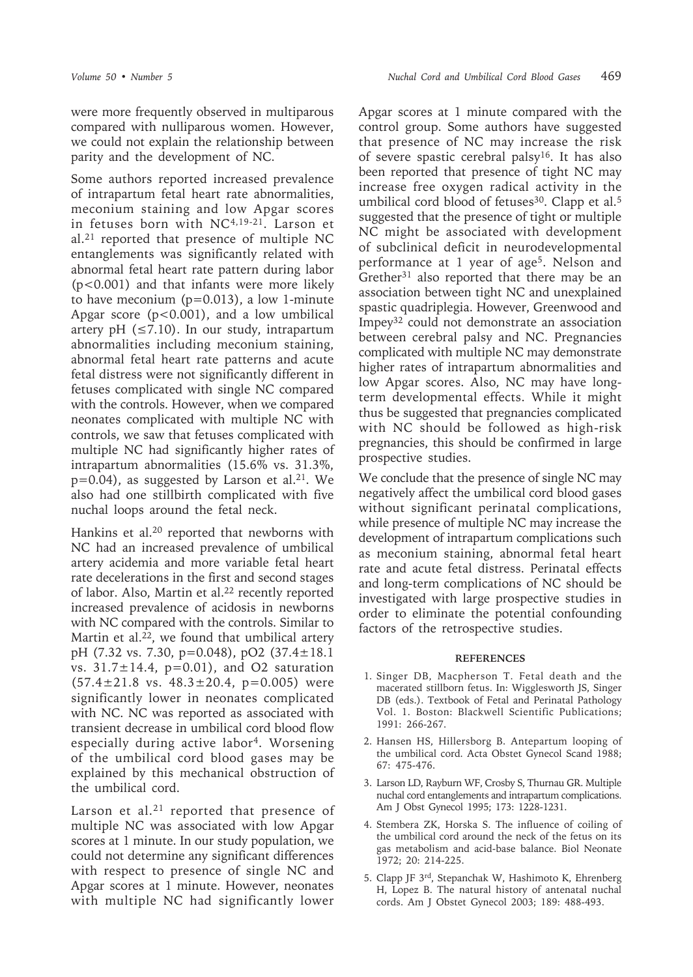were more frequently observed in multiparous compared with nulliparous women. However, we could not explain the relationship between parity and the development of NC.

Some authors reported increased prevalence of intrapartum fetal heart rate abnormalities, meconium staining and low Apgar scores in fetuses born with NC4,19-21. Larson et al.21 reported that presence of multiple NC entanglements was significantly related with abnormal fetal heart rate pattern during labor (p<0.001) and that infants were more likely to have meconium  $(p=0.013)$ , a low 1-minute Apgar score ( $p < 0.001$ ), and a low umbilical artery pH  $(\leq 7.10)$ . In our study, intrapartum abnormalities including meconium staining, abnormal fetal heart rate patterns and acute fetal distress were not significantly different in fetuses complicated with single NC compared with the controls. However, when we compared neonates complicated with multiple NC with controls, we saw that fetuses complicated with multiple NC had significantly higher rates of intrapartum abnormalities (15.6% vs. 31.3%,  $p=0.04$ ), as suggested by Larson et al.<sup>21</sup>. We also had one stillbirth complicated with five nuchal loops around the fetal neck.

Hankins et al.<sup>20</sup> reported that newborns with NC had an increased prevalence of umbilical artery acidemia and more variable fetal heart rate decelerations in the first and second stages of labor. Also, Martin et al.<sup>22</sup> recently reported increased prevalence of acidosis in newborns with NC compared with the controls. Similar to Martin et al.<sup>22</sup>, we found that umbilical artery pH (7.32 vs. 7.30, p=0.048), pO2 (37.4±18.1 vs.  $31.7 \pm 14.4$ ,  $p=0.01$ ), and O2 saturation  $(57.4 \pm 21.8 \text{ vs. } 48.3 \pm 20.4, \text{ p}=0.005)$  were significantly lower in neonates complicated with NC. NC was reported as associated with transient decrease in umbilical cord blood flow especially during active labor4. Worsening of the umbilical cord blood gases may be explained by this mechanical obstruction of the umbilical cord.

Larson et al.<sup>21</sup> reported that presence of multiple NC was associated with low Apgar scores at 1 minute. In our study population, we could not determine any significant differences with respect to presence of single NC and Apgar scores at 1 minute. However, neonates with multiple NC had significantly lower

Apgar scores at 1 minute compared with the control group. Some authors have suggested that presence of NC may increase the risk of severe spastic cerebral palsy16. It has also been reported that presence of tight NC may increase free oxygen radical activity in the umbilical cord blood of fetuses<sup>30</sup>. Clapp et al.<sup>5</sup> suggested that the presence of tight or multiple NC might be associated with development of subclinical deficit in neurodevelopmental performance at 1 year of age<sup>5</sup>. Nelson and Grether<sup>31</sup> also reported that there may be an association between tight NC and unexplained spastic quadriplegia. However, Greenwood and Impey32 could not demonstrate an association between cerebral palsy and NC. Pregnancies complicated with multiple NC may demonstrate higher rates of intrapartum abnormalities and low Apgar scores. Also, NC may have longterm developmental effects. While it might thus be suggested that pregnancies complicated with NC should be followed as high-risk pregnancies, this should be confirmed in large prospective studies.

We conclude that the presence of single NC may negatively affect the umbilical cord blood gases without significant perinatal complications, while presence of multiple NC may increase the development of intrapartum complications such as meconium staining, abnormal fetal heart rate and acute fetal distress. Perinatal effects and long-term complications of NC should be investigated with large prospective studies in order to eliminate the potential confounding factors of the retrospective studies.

#### **REFERENCES**

- 1. Singer DB, Macpherson T. Fetal death and the macerated stillborn fetus. In: Wigglesworth JS, Singer DB (eds.). Textbook of Fetal and Perinatal Pathology Vol. 1. Boston: Blackwell Scientific Publications; 1991: 266-267.
- 2. Hansen HS, Hillersborg B. Antepartum looping of the umbilical cord. Acta Obstet Gynecol Scand 1988; 67: 475-476.
- 3. Larson LD, Rayburn WF, Crosby S, Thurnau GR. Multiple nuchal cord entanglements and intrapartum complications. Am J Obst Gynecol 1995; 173: 1228-1231.
- 4. Stembera ZK, Horska S. The influence of coiling of the umbilical cord around the neck of the fetus on its gas metabolism and acid-base balance. Biol Neonate 1972; 20: 214-225.
- 5. Clapp JF 3rd, Stepanchak W, Hashimoto K, Ehrenberg H, Lopez B. The natural history of antenatal nuchal cords. Am J Obstet Gynecol 2003; 189: 488-493.